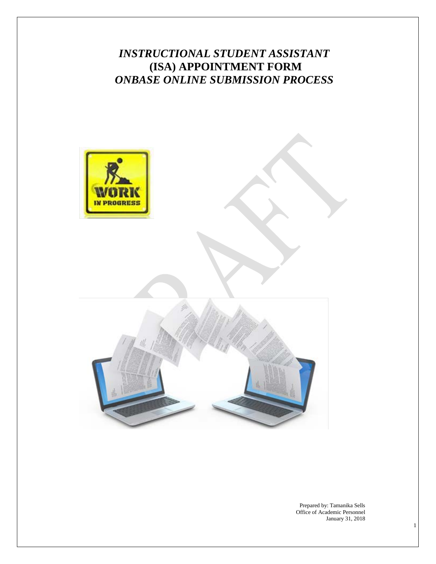# *INSTRUCTIONAL STUDENT ASSISTANT* **(ISA) APPOINTMENT FORM**  *ONBASE ONLINE SUBMISSION PROCESS*



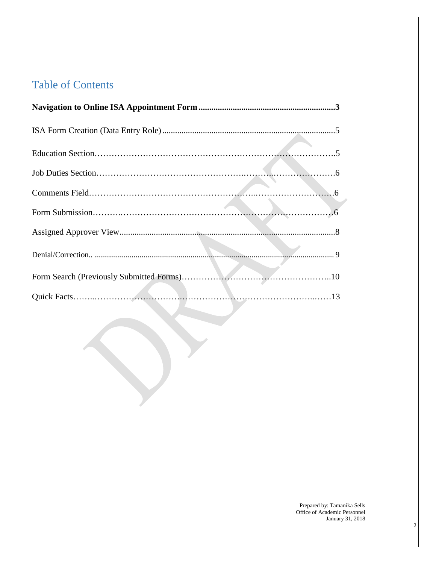# Table of Contents

T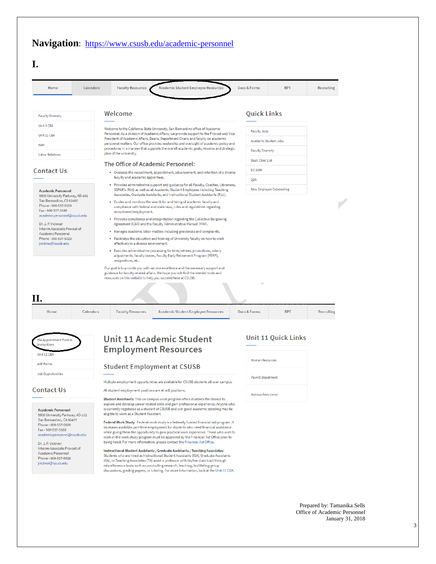# Navigation: <https://www.csusb.edu/academic-personnel>

| Home                                                                                                                                   | Calendars | <b>Faculty Resources</b>                                                                                                                                                                                                                           | <b>Academic Student Employee Resources</b>                                                                                                                                  | Docs & Forms             | <b>RPT</b> | <b>Recruiting</b> |
|----------------------------------------------------------------------------------------------------------------------------------------|-----------|----------------------------------------------------------------------------------------------------------------------------------------------------------------------------------------------------------------------------------------------------|-----------------------------------------------------------------------------------------------------------------------------------------------------------------------------|--------------------------|------------|-------------------|
| <b>Faculty Diversity</b>                                                                                                               |           | Welcome                                                                                                                                                                                                                                            |                                                                                                                                                                             | <b>Quick Links</b>       |            |                   |
| Unit 3 CBA                                                                                                                             |           |                                                                                                                                                                                                                                                    | Welcome to the California State University, San Bernardino office of Academic                                                                                               |                          |            |                   |
| Unit 11 CBA                                                                                                                            |           |                                                                                                                                                                                                                                                    | Personnel. As a division of Academic Affairs, we provide support to the Provost and Vice<br>President of Academic Affairs, Deans, Department Chairs and faculty on academic | <b>Faculty Jobs</b>      |            |                   |
| <b>FAM</b>                                                                                                                             |           |                                                                                                                                                                                                                                                    | personnel matters. Our office provides leadership and oversight of academic policy and                                                                                      | Academic Student Jobs    |            |                   |
| <b>Labor Relations</b>                                                                                                                 |           | plan of the university.                                                                                                                                                                                                                            | procedures in a manner that supports the overall academic goals, mission and strategic                                                                                      | <b>Faculty Diversity</b> |            |                   |
|                                                                                                                                        |           | The Office of Academic Personnel:                                                                                                                                                                                                                  |                                                                                                                                                                             | Dept. Chair List         |            |                   |
| <b>Contact Us</b>                                                                                                                      |           | • Oversees the recruitment, appointment, advancement, and retention of a diverse<br>faculty and academic appointees.                                                                                                                               |                                                                                                                                                                             | EO 1096                  |            |                   |
|                                                                                                                                        |           |                                                                                                                                                                                                                                                    |                                                                                                                                                                             | Q <sub>2</sub> S         |            |                   |
| <b>Academic Personnel</b><br>5500 University Parkway, AD-101<br>San Bernardino, CA 92407<br>Phone - 909-537-5029<br>Fax - 909-537-3188 |           | · Provides administrative support and guidance for all Faculty, Coaches, Librarians,<br>SSPAR's (R03) as well as all Academic Student Employees including Teaching<br>Associates, Graduate Assistants, and Instructional Student Assistants (R11). |                                                                                                                                                                             | New Employee Onboarding  |            |                   |
|                                                                                                                                        |           | recruitment/employment.                                                                                                                                                                                                                            | • Guides and monitors the search for and hiring of academic faculty and<br>compliance with federal and state laws, rules and regulations regarding                          |                          |            |                   |
| academicpersonnel@csusb.edu<br>Dr. J. P. Vicknair                                                                                      |           |                                                                                                                                                                                                                                                    | • Provides compliance and interpretation regarding the Collective Bargaining<br>Agreement (CBA) and the Faculty Administrative Manual (FAM).                                |                          |            |                   |
| Interim Associate Provost of<br>Academic Personnel                                                                                     |           |                                                                                                                                                                                                                                                    | • Manages academic labor matters including grievances and complaints.                                                                                                       |                          |            |                   |
| Phone - 909-537-5029<br>jvicknai@csusb.edu                                                                                             |           | effectively in a diverse environment.                                                                                                                                                                                                              | . Facilitates the education and training of University faculty on how to work                                                                                               |                          |            |                   |
|                                                                                                                                        |           | resignations, etc.                                                                                                                                                                                                                                 | · Executes administrative processing for hires/rehires, promotions, salary<br>adjustments, faculty leaves, Faculty Early Retirement Program (FERP),                         |                          |            |                   |
|                                                                                                                                        |           | resources on this website to help you succeed here at CSUSB.                                                                                                                                                                                       | Our goal is to provide you with service excellence and the necessary support and<br>guidance for faculty related affairs. We hope you will find the needed tools and        |                          |            |                   |
| Н.                                                                                                                                     |           |                                                                                                                                                                                                                                                    |                                                                                                                                                                             |                          |            |                   |
|                                                                                                                                        |           |                                                                                                                                                                                                                                                    |                                                                                                                                                                             |                          |            |                   |

| ISA Appointment Form &<br>Instructions |  |
|----------------------------------------|--|
| Unit 11 CBA                            |  |
| <b>ASF Forms</b>                       |  |
| <b>Job Opportunities</b>               |  |

#### **Contact Us**

**Academic Personnel** 5500 University Parkway, AD-101<br>San Bernardino, CA 92407 Phone - 909-537-5029 Fax - 909-537-3188 emicpersonnel@csusb.edu aca

Dr. J. P. Vicknair Interim Associate Provost of Academic Personnel Phone - 909-537-5029 jvicknai@csusb.edu

# **Unit 11 Academic Student Employment Resources**

#### **Student Employment at CSUSB**

Multiple employment opportunities are available for CSUSB students all over campus.

All student employment positions are at will positions.

Student Assistants: This on-campus work program offers students the chance to explore and develop career related skills and gain professional experience. Anyone who is currently registered as a student at CSUSB and is in good academic standing may be eligible to work as a Student Assistant.

Federal Work Study: Federal-work study is a federally funded financial aid program. It<br>increases available part-time employment for students who need financial assistance while giving them the opportunity to gain practical work experience. Those who wish to work in the work-study program must be approved by the Financial Aid Office prior to<br>being hired. For more information, please contact the Financial Aid Office.

 ${\sf Instructional\, Student\,Assistants\,}/$   ${\sf Graduate\,Assistants\,}/$   ${\sf Teaching\,Asociates:}$ Students who are hired as Instructional Student Assistants (ISA), Graduate Assistants (GA), or Teaching Associates (TA) assist a professor with his/her class load through  $\label{thm:main} \vspace{-2mm} \vspace{-2mm} \begin{minipage}[c]{0.9\linewidth} \textbf{m} is cell are used as a conducting research, teaching, facilitating group discussions, grading papers, or tutorials. For more information, look at the Unit 11 CBA. \end{minipage}$ 

#### **Unit 11 Quick Links**

| <b>Human Resources</b>   |
|--------------------------|
|                          |
| <b>Payroll Depatment</b> |
|                          |
| <b>Autoworkers Union</b> |
|                          |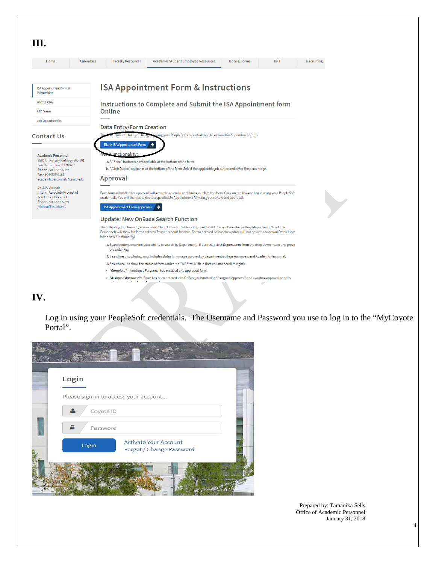

# **IV.**

Log in using your PeopleSoft credentials. The Username and Password you use to log in to the "MyCoyote Portal".

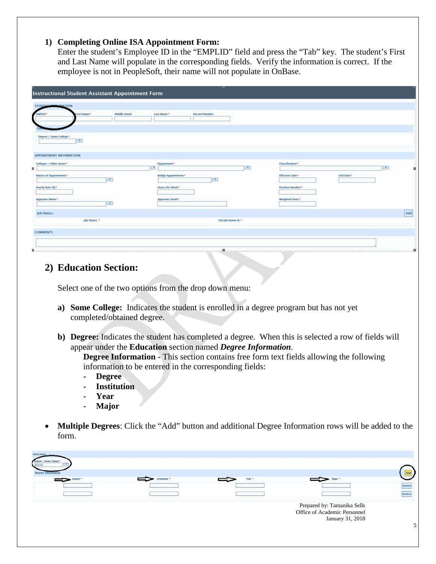#### **1) Completing Online ISA Appointment Form:**

Enter the student's Employee ID in the "EMPLID" field and press the "Tab" key. The student's First and Last Name will populate in the corresponding fields. Verify the information is correct. If the employee is not in PeopleSoft, their name will not populate in OnBase.

| <b>Instructional Student Assistant Appointment Form</b>            |                                                                                                                                                                                                                                      |              |                       |           |                         |
|--------------------------------------------------------------------|--------------------------------------------------------------------------------------------------------------------------------------------------------------------------------------------------------------------------------------|--------------|-----------------------|-----------|-------------------------|
| STUDENT MARGAREATION                                               |                                                                                                                                                                                                                                      |              |                       |           |                         |
| Middle Initial<br>lirst Name*<br><b>EMPLID*</b>                    | <b>Record Number</b><br>Last Name*                                                                                                                                                                                                   |              |                       |           |                         |
|                                                                    |                                                                                                                                                                                                                                      |              |                       |           |                         |
| Degree / Some College*<br>$\left\lfloor \frac{1}{2} \right\rfloor$ |                                                                                                                                                                                                                                      |              |                       |           |                         |
| <b>APPOINTMENT INFORMATION</b>                                     |                                                                                                                                                                                                                                      |              |                       |           |                         |
| Colleges / Other Areas *<br>к.                                     | Department*<br><b>IV</b>                                                                                                                                                                                                             | $\mathbf{v}$ | Classification*       |           | $\overline{\mathbf{r}}$ |
| Nature of Appointment*<br>$\mathbf{r}$                             | <b>Sridge Appointment*</b><br>$\blacktriangledown$                                                                                                                                                                                   |              | <b>Effective Date</b> | End Date* |                         |
| Hourly Rate (\$)*                                                  | Hours Per Week*                                                                                                                                                                                                                      |              | Position Number*      |           |                         |
| Approver Name*<br>$\mathbf{r}$                                     | Approver Email *                                                                                                                                                                                                                     |              | Weighted Units*       |           |                         |
| <b>Job Duties</b><br>Job Duties                                    | ISA Job Duties % *                                                                                                                                                                                                                   |              |                       |           | Add                     |
| <b>COMMENTS</b>                                                    |                                                                                                                                                                                                                                      |              |                       |           |                         |
|                                                                    |                                                                                                                                                                                                                                      |              |                       |           |                         |
|                                                                    | <u>and the company of the company of the company of the company of the company of the company of the company of the company of the company of the company of the company of the company of the company of the company of the com</u> |              |                       |           |                         |

# **2) Education Section:**

Select one of the two options from the drop down menu:

- **a) Some College:** Indicates the student is enrolled in a degree program but has not yet completed/obtained degree.
- **b) Degree:** Indicates the student has completed a degree. When this is selected a row of fields will appear under the **Education** section named *Degree Information*.

**Degree Information -** This section contains free form text fields allowing the following information to be entered in the corresponding fields:

- **- Degree**
- **- Institution**
- **- Year**
- **- Major**
- **Multiple Degrees**: Click the "Add" button and additional Degree Information rows will be added to the form.

| Education<br>Degree / Some College |              |        |                                                             |        |
|------------------------------------|--------------|--------|-------------------------------------------------------------|--------|
| Degree Information                 |              |        |                                                             |        |
| Degree <sup>+</sup>                | nstitution * | Year * | Major *                                                     |        |
|                                    |              |        |                                                             | Remove |
|                                    |              |        |                                                             | Remove |
|                                    |              |        | Prepared by: Tamanika Sells<br>Office of Academic Personnel |        |
|                                    |              |        |                                                             |        |
|                                    |              |        | January 31, 2018                                            |        |
|                                    |              |        |                                                             |        |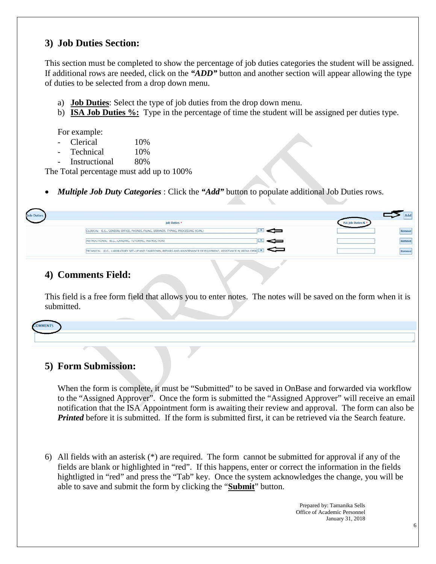# **3) Job Duties Section:**

This section must be completed to show the percentage of job duties categories the student will be assigned. If additional rows are needed, click on the *"ADD"* button and another section will appear allowing the type of duties to be selected from a drop down menu.

- a) **Job Duties**: Select the type of job duties from the drop down menu.
- b) **ISA Job Duties %:** Type in the percentage of time the student will be assigned per duties type.

For example:

- Clerical 10%
- Technical 10%
- Instructional 80%

The Total percentage must add up to 100%

*Multiple Job Duty Categories*: Click the "Add" button to populate additional Job Duties rows.

| <b>Job Duties</b> | Job Duties                                                                                                            | Add<br>ISA Job Duties % * |
|-------------------|-----------------------------------------------------------------------------------------------------------------------|---------------------------|
|                   | CLERICAL: (E.G., GENERAL OFFICE, PHONES, FILING, ERRANDS, TYPING, PROCESSING SCAN.)                                   | Remove                    |
|                   | INSTRUCTIONAL: (E.G., GRADING, TUTORING, INSTRUCTION)                                                                 | Remove                    |
|                   | =<br>TECHNICAL: (E.G., LABORATORY SET-UP AND TAKEDOWN, REPAIRS AND MAINTENANCE OF EQUIPMENT, ASSISTANCE IN MEDIA OPER | ternow                    |

# **4) Comments Field:**

This field is a free form field that allows you to enter notes. The notes will be saved on the form when it is submitted.

| - |  |  |
|---|--|--|
|   |  |  |
|   |  |  |
|   |  |  |

# **5) Form Submission:**

When the form is complete, it must be "Submitted" to be saved in OnBase and forwarded via workflow to the "Assigned Approver". Once the form is submitted the "Assigned Approver" will receive an email notification that the ISA Appointment form is awaiting their review and approval. The form can also be *Printed* before it is submitted. If the form is submitted first, it can be retrieved via the Search feature.

6) All fields with an asterisk (\*) are required. The form cannot be submitted for approval if any of the fields are blank or highlighted in "red". If this happens, enter or correct the information in the fields hightligted in "red" and press the "Tab" key. Once the system acknowledges the change, you will be able to save and submit the form by clicking the "**Submit**" button.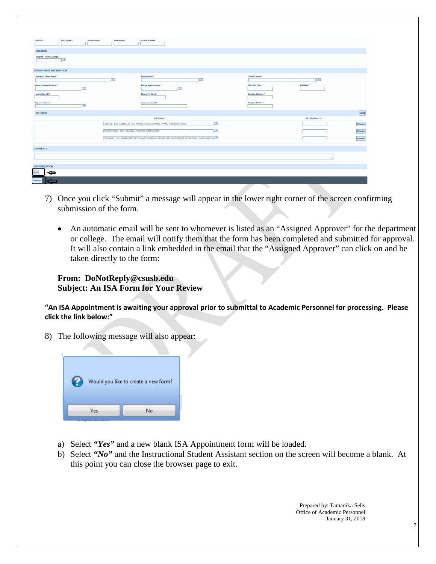| ENPLID*                 | First Name?    | <b>Middle Instial</b>  | Last Name?   | <b>Record Number</b>                                                                                     |                          |                    |                            |
|-------------------------|----------------|------------------------|--------------|----------------------------------------------------------------------------------------------------------|--------------------------|--------------------|----------------------------|
| Education               |                |                        |              |                                                                                                          |                          |                    |                            |
| Degree / Some College*  |                |                        |              |                                                                                                          |                          |                    |                            |
|                         | $\overline{a}$ |                        |              |                                                                                                          |                          |                    |                            |
| APPOINTMENT INFORMATION |                |                        |              |                                                                                                          |                          |                    |                            |
| Colleges / Other Areas* |                |                        |              | Department*                                                                                              | Classification*          |                    |                            |
|                         |                |                        | $\mathbf{L}$ | $\sqrt{2}$                                                                                               |                          | $\mathbf{v}$       |                            |
| Nature of Appointment*  |                | $\left[ \cdot \right]$ |              | <b>Bridge Appointment*</b><br>$\bullet$                                                                  | <b>Effective Date</b> *  | <b>End Date</b> *  |                            |
| Hourty Rate (\$)*       |                |                        |              | Hours Per Week *                                                                                         | Position Number*         |                    |                            |
| Approver Name*          |                |                        |              | Approver Email*                                                                                          | Wrighted Units*          |                    |                            |
|                         |                | $\left  \cdot \right $ |              |                                                                                                          |                          |                    |                            |
| <b>Job Duties</b>       |                |                        |              |                                                                                                          |                          |                    | Add                        |
|                         |                |                        |              | Job Daties                                                                                               |                          | ISA Job Duties N * |                            |
|                         |                |                        |              | CLERICAL: (E.G., CENERAL OFFICE, PHONES, FILING, ERRANDS, TYPING, PROCESSING SCAN.)                      | $\left( \cdot \right)$   |                    |                            |
|                         |                |                        |              | INSTRUCTIONAL: IE.C., GRADING, TUTORING, INSTRUCTION(                                                    | $\overline{\mathcal{F}}$ |                    | Remove<br>Remove<br>Remove |
|                         |                |                        |              | TECHNICAL (E.C., LABORATORY SET-UP AND TAKEDOWN, REPAIRS AND MAINTENANCE OF EQUIPMENT, ASSISTANCE IN [ * |                          |                    |                            |
|                         |                |                        |              |                                                                                                          |                          |                    |                            |
| <b>COMMENTS</b>         |                |                        |              |                                                                                                          |                          |                    |                            |
|                         |                |                        |              |                                                                                                          |                          |                    |                            |
|                         |                |                        |              |                                                                                                          |                          |                    |                            |
| <b>AUTHORIZATION</b>    |                |                        |              |                                                                                                          |                          |                    |                            |
| ⇔                       |                |                        |              |                                                                                                          |                          |                    |                            |

- 7) Once you click "Submit" a message will appear in the lower right corner of the screen confirming submission of the form.
	- An automatic email will be sent to whomever is listed as an "Assigned Approver" for the department or college. The email will notify them that the form has been completed and submitted for approval. It will also contain a link embedded in the email that the "Assigned Approver" can click on and be taken directly to the form:

#### **From: DoNotReply@csusb.edu Subject: An ISA Form for Your Review**

**"An ISA Appointment is awaiting your approval prior to submittal to Academic Personnel for processing. Please click the link below:"**

8) The following message will also appear:



- a) Select *"Yes"* and a new blank ISA Appointment form will be loaded.
- b) Select *"No"* and the Instructional Student Assistant section on the screen will become a blank. At this point you can close the browser page to exit.

Prepared by: Tamanika Sells Office of Academic Personnel January 31, 2018

7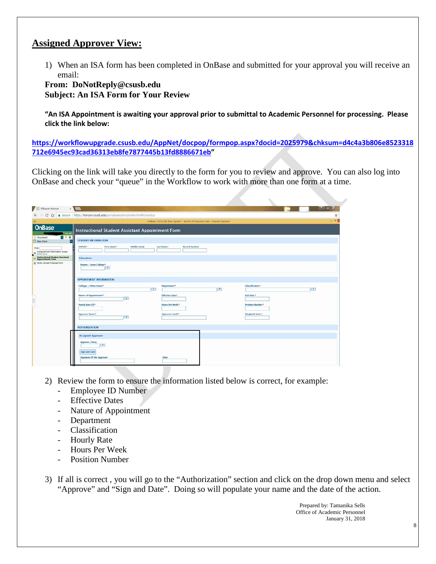## **Assigned Approver View:**

1) When an ISA form has been completed in OnBase and submitted for your approval you will receive an email:

**From: DoNotReply@csusb.edu Subject: An ISA Form for Your Review**

**"An ISA Appointment is awaiting your approval prior to submittal to Academic Personnel for processing. Please click the link below:**

**[https://workflowupgrade.csusb.edu/AppNet/docpop/formpop.aspx?docid=2025979&chksum=d4c4a3b806e8523318](https://workflowupgrade.csusb.edu/AppNet/docpop/formpop.aspx?docid=2025979&chksum=d4c4a3b806e8523318712e6945ec93cad36313eb8fe7877445b13fd8886671eb) [712e6945ec93cad36313eb8fe7877445b13fd8886671eb"](https://workflowupgrade.csusb.edu/AppNet/docpop/formpop.aspx?docid=2025979&chksum=d4c4a3b806e8523318712e6945ec93cad36313eb8fe7877445b13fd8886671eb)**

Clicking on the link will take you directly to the form for you to review and approve. You can also log into OnBase and check your "queue" in the Workflow to work with more than one form at a time.

|                                                           | C Q B Secure   https://horizon.csusb.edu/portal/webclient/index.html#/desktop |                                                                              |                         |           |
|-----------------------------------------------------------|-------------------------------------------------------------------------------|------------------------------------------------------------------------------|-------------------------|-----------|
|                                                           |                                                                               | OnBase 15.0.3.238 (Test System - Not For Production Use) - Internet Explorer |                         | $ -$      |
| <b>OnBase</b><br>I Log out                                | <b>Instructional Student Assistant Appointment Form</b>                       |                                                                              |                         |           |
| 日々の<br><b>Document</b><br><b>C</b> - New Form             | <b>STUDENT INFORMATION</b>                                                    |                                                                              |                         |           |
| Find:<br>Computerized Information Access<br>EE (CIA) Form | EMPLID <sup>+</sup><br>Middle Initial<br>First Name*                          | Last Name*<br><b>Record Number</b>                                           |                         |           |
| Instructional Student Assistant<br>Appointment Form       | <b>Education</b>                                                              |                                                                              |                         |           |
| <b>PI Study Abroad Proposal Form</b>                      | Degree / Some College*<br>$\sim$                                              |                                                                              |                         |           |
|                                                           | APPOINTMENT INFORMATION                                                       |                                                                              |                         |           |
|                                                           | Colleges / Other Areas*<br>$\mathbf{v}_i$                                     | Department <sup>*</sup><br>$\mathbf{v}$                                      | Classification*         | $\bullet$ |
|                                                           | Nature of Appointment*                                                        | <b>Iffective Date*</b>                                                       | End Date*               |           |
|                                                           | $\bullet$                                                                     |                                                                              |                         |           |
|                                                           | Hourly Rate (S)*                                                              | Hours Per Week*                                                              | <b>Position Number*</b> |           |
|                                                           | Approver Name*<br>$\overline{\mathbf{v}}$                                     | <b>Approver Email*</b>                                                       | <b>Weighted Units*</b>  |           |
|                                                           | <b>AUTHORIZATION</b>                                                          |                                                                              |                         |           |
|                                                           | <b>Assigned Approver</b>                                                      |                                                                              |                         |           |
|                                                           | Approve / Deny<br>$\mathbf{r}$                                                |                                                                              |                         |           |
|                                                           | Sign and Date                                                                 |                                                                              |                         |           |

- 2) Review the form to ensure the information listed below is correct, for example:
	- Employee ID Number
	- Effective Dates
	- Nature of Appointment
	- **Department**
	- Classification
	- Hourly Rate
	- Hours Per Week
	- Position Number
- 3) If all is correct , you will go to the "Authorization" section and click on the drop down menu and select "Approve" and "Sign and Date". Doing so will populate your name and the date of the action.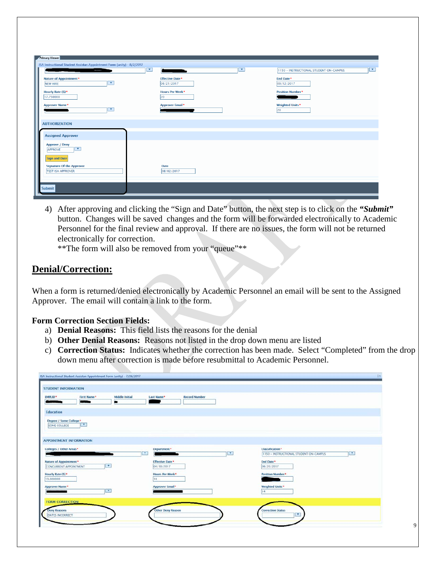| <b>Common</b>                                                                        | $\overline{\phantom{a}}$ | ▼<br>ŀ<br>$\overline{\phantom{a}}$   | 1150 - INSTRUCTIONAL STUDENT ON-CAMPUS |
|--------------------------------------------------------------------------------------|--------------------------|--------------------------------------|----------------------------------------|
| Nature of Appointment*<br>$\overline{\phantom{a}}$<br>NEW HIRE                       |                          | <b>Effective Date*</b><br>06/21/2017 | End Date*<br>09/12/2017                |
| Hourly Rate (\$)*<br>17.750000                                                       |                          | Hours Per Week*<br>20                | <b>Position Number*</b>                |
| <b>Approver Name*</b><br>$\mathbf{v}$                                                |                          | <b>Approver Email*</b>               | <b>Weighted Units*</b><br>20           |
| <b>AUTHORIZATION</b>                                                                 |                          |                                      |                                        |
| <b>Assigned Approver</b>                                                             |                          |                                      |                                        |
| <b>Approve / Deny</b><br>$\overline{\mathbf{v}}$<br>APPROVE                          |                          |                                      |                                        |
| <b>Sign and Date</b><br><b>Signature Of the Approver</b><br><b>TEST ISA APPROVER</b> |                          | <b>Date</b><br>08/02/2017            |                                        |

4) After approving and clicking the "Sign and Date" button, the next step is to click on the *"Submit"* button. Changes will be saved changes and the form will be forwarded electronically to Academic Personnel for the final review and approval. If there are no issues, the form will not be returned electronically for correction.

\*\*The form will also be removed from your "queue"\*\*

### **Denial/Correction:**

When a form is returned/denied electronically by Academic Personnel an email will be sent to the Assigned Approver. The email will contain a link to the form.

#### **Form Correction Section Fields:**

- a) **Denial Reasons:** This field lists the reasons for the denial
- b) **Other Denial Reasons:** Reasons not listed in the drop down menu are listed
- c) **Correction Status:** Indicates whether the correction has been made. Select "Completed" from the drop down menu after correction is made before resubmittal to Academic Personnel.

| <b>EMPLID*</b><br>First Name*                           | Middle Initial | Last Name*                            | <b>Record Number</b> |              |                                        |              |
|---------------------------------------------------------|----------------|---------------------------------------|----------------------|--------------|----------------------------------------|--------------|
| Education                                               |                |                                       |                      |              |                                        |              |
| Degree / Some College*<br><b>IX</b><br>SOME COLLEGE     |                |                                       |                      |              |                                        |              |
|                                                         |                |                                       |                      |              |                                        |              |
| APPOINTMENT INFORMATION                                 |                |                                       |                      |              |                                        |              |
| Colleges / Other Areas *                                |                | Department *                          |                      |              | Classification *                       |              |
|                                                         |                | $\mathbf v$                           |                      | $\mathbf{v}$ | 1150 - INSTRUCTIONAL STUDENT ON-CAMPUS | $\mathbf{v}$ |
| Nature of Appointment*<br><b>CONCURRENT APPOINTMENT</b> | $\mathbf{r}$   | <b>Effective Date *</b><br>04/10/2017 |                      |              | End Date*<br>06/20/2017                |              |
| Hourly Rate (\$)*                                       |                | Hours Per Week*                       |                      |              | <b>Position Number*</b>                |              |
| 13.000000                                               |                | 10                                    |                      |              |                                        |              |
| <b>Approver Name*</b>                                   |                | <b>Approver Email*</b>                |                      |              | Weighted Units*                        |              |
|                                                         | $\mathbf{v}$   |                                       |                      |              | 14                                     |              |
| <b>FORM CORRECTION</b>                                  |                |                                       |                      |              |                                        |              |
|                                                         |                |                                       |                      |              |                                        |              |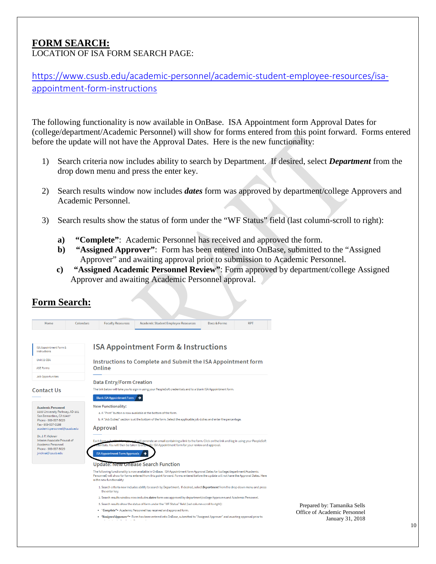#### **FORM SEARCH:** LOCATION OF ISA FORM SEARCH PAGE:

**Form Search:**

[https://www.csusb.edu/academic-personnel/academic-student-employee-resources/isa](https://www.csusb.edu/academic-personnel/academic-student-employee-resources/isa-appointment-form-instructions)[appointment-form-instructions](https://www.csusb.edu/academic-personnel/academic-student-employee-resources/isa-appointment-form-instructions)

The following functionality is now available in OnBase. ISA Appointment form Approval Dates for (college/department/Academic Personnel) will show for forms entered from this point forward. Forms entered before the update will not have the Approval Dates. Here is the new functionality:

- 1) Search criteria now includes ability to search by Department. If desired, select *Department* from the drop down menu and press the enter key.
- 2) Search results window now includes *dates* form was approved by department/college Approvers and Academic Personnel.
- 3) Search results show the status of form under the "WF Status" field (last column-scroll to right):
	- **a) "Complete"**: Academic Personnel has received and approved the form.
	- **b) "Assigned Approver"**: Form has been entered into OnBase, submitted to the "Assigned Approver" and awaiting approval prior to submission to Academic Personnel.
	- **c) "Assigned Academic Personnel Review"**: Form approved by department/college Assigned Approver and awaiting Academic Personnel approval.

| Home                                              | Calendars | <b>Faculty Resources</b>                                                                                           | <b>Academic Student Employee Resources</b>                                                                                                                                                                                                                             | Docs & Forms | <b>RPT</b> |  |  |  |  |  |
|---------------------------------------------------|-----------|--------------------------------------------------------------------------------------------------------------------|------------------------------------------------------------------------------------------------------------------------------------------------------------------------------------------------------------------------------------------------------------------------|--------------|------------|--|--|--|--|--|
|                                                   |           |                                                                                                                    |                                                                                                                                                                                                                                                                        |              |            |  |  |  |  |  |
| ISA Appointment Form &<br>Instructions            |           |                                                                                                                    | <b>ISA Appointment Form &amp; Instructions</b>                                                                                                                                                                                                                         |              |            |  |  |  |  |  |
| Unit 11 CBA                                       |           |                                                                                                                    | Instructions to Complete and Submit the ISA Appointment form                                                                                                                                                                                                           |              |            |  |  |  |  |  |
| <b>ASE Forms</b>                                  |           | Online                                                                                                             |                                                                                                                                                                                                                                                                        |              |            |  |  |  |  |  |
| <b>Job Opportunities</b>                          |           |                                                                                                                    |                                                                                                                                                                                                                                                                        |              |            |  |  |  |  |  |
|                                                   |           | <b>Data Entry/Form Creation</b>                                                                                    |                                                                                                                                                                                                                                                                        |              |            |  |  |  |  |  |
| <b>Contact Us</b>                                 |           |                                                                                                                    | The link below will take you to sign in using your PeopleSoft credentials and to a blank ISA Appointment form.                                                                                                                                                         |              |            |  |  |  |  |  |
|                                                   |           | <b>Blank ISA Appointment Form</b>                                                                                  |                                                                                                                                                                                                                                                                        |              |            |  |  |  |  |  |
| <b>Academic Personnel</b>                         |           | <b>New Functionality:</b>                                                                                          |                                                                                                                                                                                                                                                                        |              |            |  |  |  |  |  |
| 5500 University Parkway, AD-101                   |           | a. A "Print" button is now available at the bottom of the form.                                                    |                                                                                                                                                                                                                                                                        |              |            |  |  |  |  |  |
| San Bernardino, CA 92407<br>Phone - 909-537-5029  |           | b. A "Job Duties" section is at the bottom of the form. Select the applicable job duties and enter the percentage. |                                                                                                                                                                                                                                                                        |              |            |  |  |  |  |  |
| Fax - 909-537-3188<br>academicpersonnel@csusb.edu |           | Approval                                                                                                           |                                                                                                                                                                                                                                                                        |              |            |  |  |  |  |  |
| Dr. J. P. Vicknair                                |           |                                                                                                                    |                                                                                                                                                                                                                                                                        |              |            |  |  |  |  |  |
| Interim Associate Provost of                      |           | Each form su                                                                                                       | al will generate an email containing a link to the form. Click on the link and log in using your PeopleSoft                                                                                                                                                            |              |            |  |  |  |  |  |
| Academic Personnel<br>Phone - 909-537-5029        |           | entials. You will then be taken to a sp                                                                            | sific ISA Appointment form for your review and approval.                                                                                                                                                                                                               |              |            |  |  |  |  |  |
| ivicknai@csusb.edu                                |           | <b>ISA Appointment Form Approvals</b>                                                                              |                                                                                                                                                                                                                                                                        |              |            |  |  |  |  |  |
|                                                   |           |                                                                                                                    |                                                                                                                                                                                                                                                                        |              |            |  |  |  |  |  |
|                                                   |           |                                                                                                                    | <b>Update: New OnBase Search Function</b>                                                                                                                                                                                                                              |              |            |  |  |  |  |  |
|                                                   |           | is the new functionality:                                                                                          | The following functionality is now available in OnBase. ISA Appointment form Approval Dates for (college/department/Academic<br>Personnel) will show for forms entered from this point forward. Forms entered before the update will not have the Approval Dates. Here |              |            |  |  |  |  |  |
|                                                   |           | the enter key.                                                                                                     | 1. Search criteria now includes ability to search by Department. If desired, select Department from the drop down menu and press                                                                                                                                       |              |            |  |  |  |  |  |
|                                                   |           |                                                                                                                    | 2. Search results window now includes dates form was approved by department/college Approvers and Academic Personnel.                                                                                                                                                  |              |            |  |  |  |  |  |
|                                                   |           |                                                                                                                    | 3. Search results show the status of form under the "WF Status" field (last column-scroll to right):                                                                                                                                                                   |              |            |  |  |  |  |  |
|                                                   |           | . "Complete"= Academic Personnel has received and approved form.                                                   |                                                                                                                                                                                                                                                                        |              |            |  |  |  |  |  |
|                                                   |           |                                                                                                                    | . "Assigned Approver"= Form has been entered into OnBase, submitted to "Assigned Approver" and awaiting approval prior to                                                                                                                                              |              |            |  |  |  |  |  |
|                                                   |           |                                                                                                                    |                                                                                                                                                                                                                                                                        |              |            |  |  |  |  |  |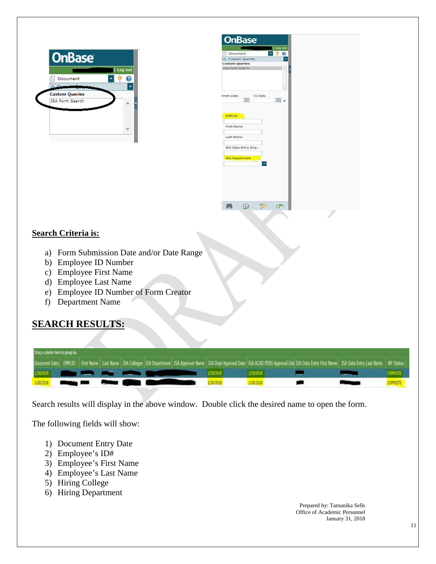



#### **Search Criteria is:**

- a) Form Submission Date and/or Date Range
- b) Employee ID Number
- c) Employee First Name
- d) Employee Last Name
- e) Employee ID Number of Form Creator
- f) Department Name

# **SEARCH RESULTS:**

| Drag a column here to group by.               |  |  |  |  |                                                                                                                                                                                                                                      |  |           |           |  |                                                                                                                                                                                                          |                 |  |  |
|-----------------------------------------------|--|--|--|--|--------------------------------------------------------------------------------------------------------------------------------------------------------------------------------------------------------------------------------------|--|-----------|-----------|--|----------------------------------------------------------------------------------------------------------------------------------------------------------------------------------------------------------|-----------------|--|--|
|                                               |  |  |  |  |                                                                                                                                                                                                                                      |  |           |           |  | Document Date EMPLID First Name Last Name ISA Colleges ISA Department ISA Approver Name ISA Dept Approval Date ISA ACAD PERS Approval Dati ISA Data Entry First Name ISA Data Entry Last Name INF Status |                 |  |  |
|                                               |  |  |  |  | 1/20/2016 <b>19:30:00 19:30:00 19:30:00 19:30:00 19:30:00 19:30:00 19:30:00 19:30:00 19:30:00 19:30:00 19:30:00 19:30:00 19:30:00 19:30:00 19:30:00 19:30:00 19:30:00 19:30:00 19:30:00 19:30:00 19:30:00 19:30:00 19:30:00 19:3</b> |  | 1/29/2018 | 1/29/2018 |  |                                                                                                                                                                                                          |                 |  |  |
| 1/26/2018 <b>Changes Foot Provider (2012)</b> |  |  |  |  |                                                                                                                                                                                                                                      |  | 1/29/2018 | 1/29/2018 |  |                                                                                                                                                                                                          | <b>COMPLETE</b> |  |  |

Search results will display in the above window. Double click the desired name to open the form.

The following fields will show:

- 1) Document Entry Date
- 2) Employee's ID#
- 3) Employee's First Name
- 4) Employee's Last Name
- 5) Hiring College
- 6) Hiring Department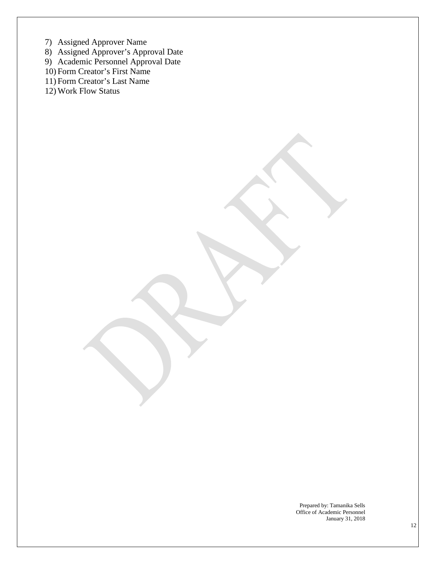- 7) Assigned Approver Name
- 8) Assigned Approver's Approval Date
- 9) Academic Personnel Approval Date
- 10) Form Creator's First Name
- 11) Form Creator's Last Name
- 12) Work Flow Status